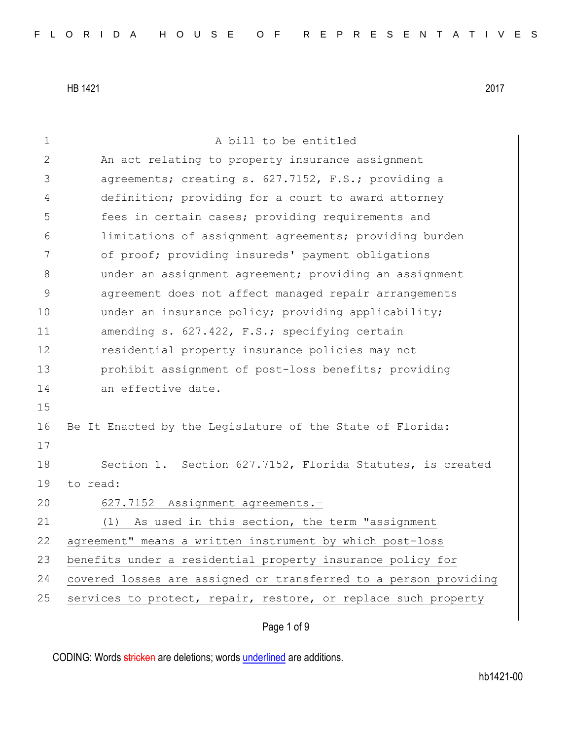| $\mathbf 1$  | A bill to be entitled                                            |
|--------------|------------------------------------------------------------------|
| $\mathbf{2}$ | An act relating to property insurance assignment                 |
| 3            | agreements; creating s. 627.7152, F.S.; providing a              |
| 4            | definition; providing for a court to award attorney              |
| 5            | fees in certain cases; providing requirements and                |
| 6            | limitations of assignment agreements; providing burden           |
| 7            | of proof; providing insureds' payment obligations                |
| 8            | under an assignment agreement; providing an assignment           |
| 9            | agreement does not affect managed repair arrangements            |
| 10           | under an insurance policy; providing applicability;              |
| 11           | amending s. 627.422, F.S.; specifying certain                    |
| 12           | residential property insurance policies may not                  |
| 13           | prohibit assignment of post-loss benefits; providing             |
| 14           | an effective date.                                               |
| 15           |                                                                  |
| 16           | Be It Enacted by the Legislature of the State of Florida:        |
| 17           |                                                                  |
| 18           | Section 1. Section 627.7152, Florida Statutes, is created        |
| 19           | to read:                                                         |
| 20           | 627.7152 Assignment agreements.-                                 |
| 21           | As used in this section, the term "assignment<br>(1)             |
| 22           | agreement" means a written instrument by which post-loss         |
| 23           | benefits under a residential property insurance policy for       |
| 24           | covered losses are assigned or transferred to a person providing |
| 25           | services to protect, repair, restore, or replace such property   |
|              |                                                                  |

Page 1 of 9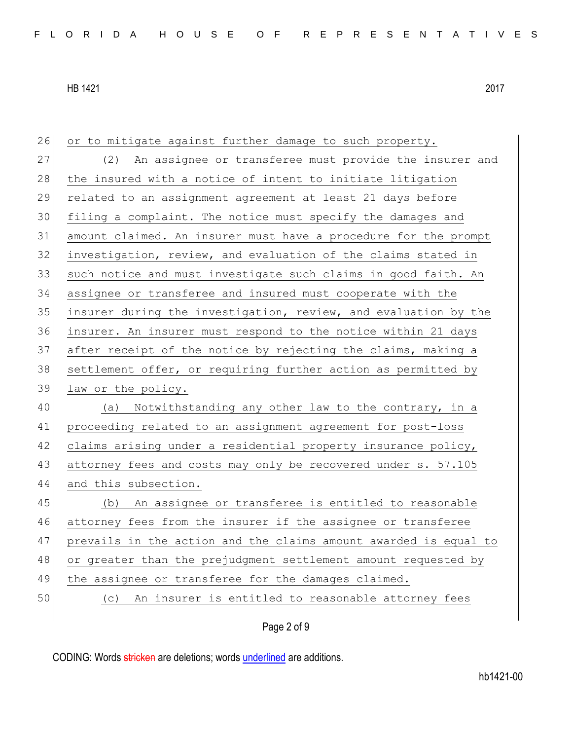| 26 | or to mitigate against further damage to such property.          |
|----|------------------------------------------------------------------|
| 27 | (2) An assignee or transferee must provide the insurer and       |
| 28 | the insured with a notice of intent to initiate litigation       |
| 29 | related to an assignment agreement at least 21 days before       |
| 30 | filing a complaint. The notice must specify the damages and      |
| 31 | amount claimed. An insurer must have a procedure for the prompt  |
| 32 | investigation, review, and evaluation of the claims stated in    |
| 33 | such notice and must investigate such claims in good faith. An   |
| 34 | assignee or transferee and insured must cooperate with the       |
| 35 | insurer during the investigation, review, and evaluation by the  |
| 36 | insurer. An insurer must respond to the notice within 21 days    |
| 37 | after receipt of the notice by rejecting the claims, making a    |
| 38 | settlement offer, or requiring further action as permitted by    |
| 39 | law or the policy.                                               |
| 40 | (a) Notwithstanding any other law to the contrary, in a          |
| 41 | proceeding related to an assignment agreement for post-loss      |
| 42 | claims arising under a residential property insurance policy,    |
| 43 | attorney fees and costs may only be recovered under s. 57.105    |
| 44 | and this subsection.                                             |
| 45 | (b) An assignee or transferee is entitled to reasonable          |
| 46 | attorney fees from the insurer if the assignee or transferee     |
| 47 | prevails in the action and the claims amount awarded is equal to |
| 48 | or greater than the prejudgment settlement amount requested by   |
| 49 | the assignee or transferee for the damages claimed.              |
| 50 | An insurer is entitled to reasonable attorney fees<br>(C)        |
|    | Page 2 of 9                                                      |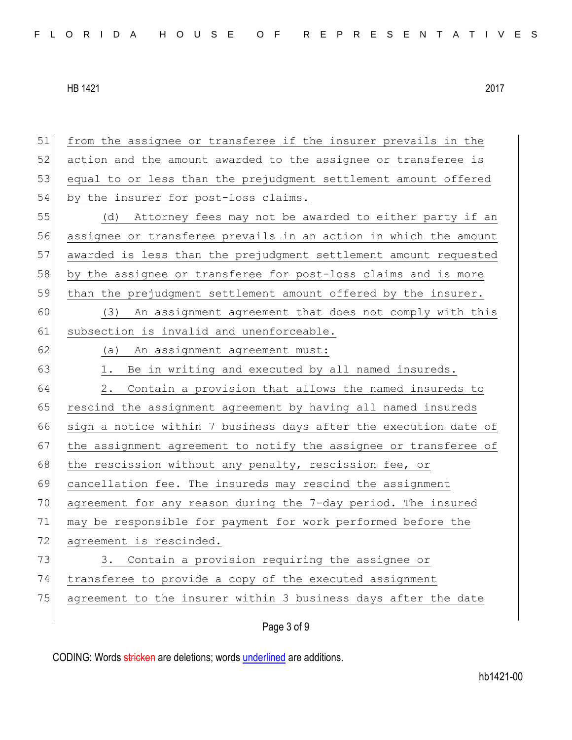51 from the assignee or transferee if the insurer prevails in the 52 action and the amount awarded to the assignee or transferee is 53 equal to or less than the prejudgment settlement amount offered 54 by the insurer for post-loss claims. 55 (d) Attorney fees may not be awarded to either party if an 56 assignee or transferee prevails in an action in which the amount 57 awarded is less than the prejudgment settlement amount requested 58 by the assignee or transferee for post-loss claims and is more 59 than the prejudgment settlement amount offered by the insurer. 60 (3) An assignment agreement that does not comply with this 61 subsection is invalid and unenforceable. 62 (a) An assignment agreement must:  $63$  1. Be in writing and executed by all named insureds. 64 2. Contain a provision that allows the named insureds to 65 rescind the assignment agreement by having all named insureds 66 sign a notice within 7 business days after the execution date of 67 the assignment agreement to notify the assignee or transferee of 68 the rescission without any penalty, rescission fee, or 69 cancellation fee. The insureds may rescind the assignment 70 agreement for any reason during the 7-day period. The insured 71 may be responsible for payment for work performed before the 72 agreement is rescinded. 73 3. Contain a provision requiring the assignee or 74 transferee to provide a copy of the executed assignment 75 agreement to the insurer within 3 business days after the date

Page 3 of 9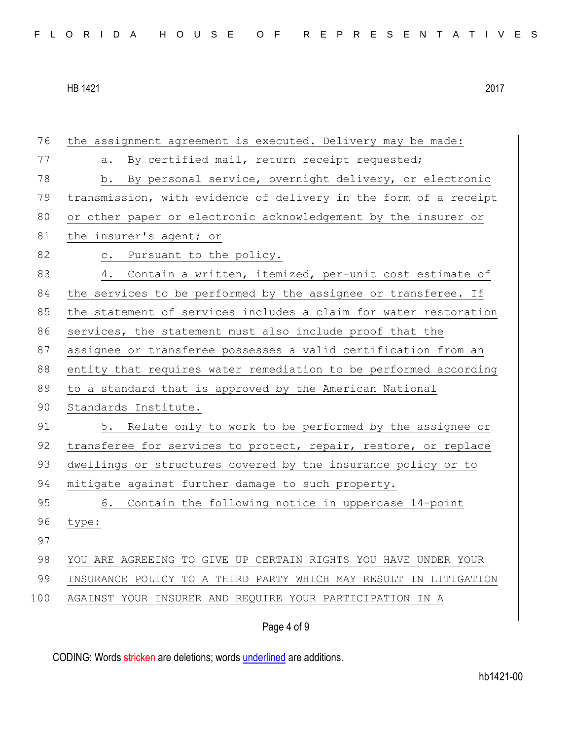| 76  | the assignment agreement is executed. Delivery may be made:      |
|-----|------------------------------------------------------------------|
| 77  | By certified mail, return receipt requested;<br>a.               |
| 78  | b. By personal service, overnight delivery, or electronic        |
| 79  | transmission, with evidence of delivery in the form of a receipt |
| 80  | or other paper or electronic acknowledgement by the insurer or   |
| 81  | the insurer's agent; or                                          |
| 82  | c. Pursuant to the policy.                                       |
| 83  | 4. Contain a written, itemized, per-unit cost estimate of        |
| 84  | the services to be performed by the assignee or transferee. If   |
| 85  | the statement of services includes a claim for water restoration |
| 86  | services, the statement must also include proof that the         |
| 87  | assignee or transferee possesses a valid certification from an   |
| 88  | entity that requires water remediation to be performed according |
|     |                                                                  |
| 89  | to a standard that is approved by the American National          |
| 90  | Standards Institute.                                             |
| 91  | 5. Relate only to work to be performed by the assignee or        |
| 92  | transferee for services to protect, repair, restore, or replace  |
| 93  | dwellings or structures covered by the insurance policy or to    |
| 94  | mitigate against further damage to such property.                |
| 95  | 6. Contain the following notice in uppercase 14-point            |
| 96  | type:                                                            |
| 97  |                                                                  |
| 98  | YOU ARE AGREEING TO GIVE UP CERTAIN RIGHTS YOU HAVE UNDER YOUR   |
| 99  | INSURANCE POLICY TO A THIRD PARTY WHICH MAY RESULT IN LITIGATION |
| 100 | AGAINST YOUR INSURER AND REQUIRE YOUR PARTICIPATION IN A         |

# Page 4 of 9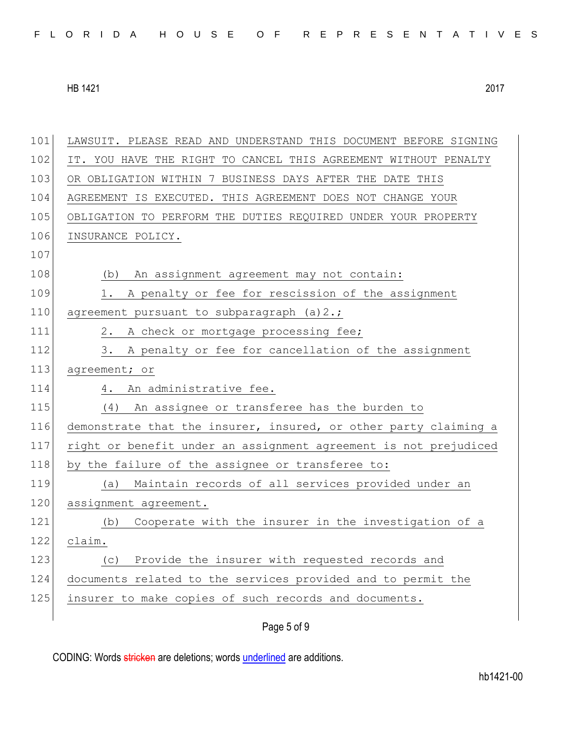| 101 | LAWSUIT. PLEASE READ AND UNDERSTAND THIS DOCUMENT BEFORE SIGNING |
|-----|------------------------------------------------------------------|
| 102 | IT. YOU HAVE THE RIGHT TO CANCEL THIS AGREEMENT WITHOUT PENALTY  |
| 103 | OR OBLIGATION WITHIN 7 BUSINESS DAYS AFTER THE DATE THIS         |
| 104 | AGREEMENT IS EXECUTED. THIS AGREEMENT DOES NOT CHANGE YOUR       |
| 105 | OBLIGATION TO PERFORM THE DUTIES REQUIRED UNDER YOUR PROPERTY    |
| 106 | INSURANCE POLICY.                                                |
| 107 |                                                                  |
| 108 | (b) An assignment agreement may not contain:                     |
| 109 | A penalty or fee for rescission of the assignment<br>1.          |
| 110 | agreement pursuant to subparagraph (a) 2.;                       |
| 111 | A check or mortgage processing fee;<br>2.                        |
| 112 | 3. A penalty or fee for cancellation of the assignment           |
| 113 | agreement; or                                                    |
|     | 4. An administrative fee.                                        |
| 114 |                                                                  |
| 115 | An assignee or transferee has the burden to<br>(4)               |
| 116 | demonstrate that the insurer, insured, or other party claiming a |
| 117 | right or benefit under an assignment agreement is not prejudiced |
| 118 | by the failure of the assignee or transferee to:                 |
| 119 | Maintain records of all services provided under an<br>(a)        |
| 120 | assignment agreement.                                            |
| 121 | Cooperate with the insurer in the investigation of a<br>(b)      |
| 122 | claim.                                                           |
| 123 | Provide the insurer with requested records and<br>(C)            |
| 124 | documents related to the services provided and to permit the     |
| 125 | insurer to make copies of such records and documents.            |

Page 5 of 9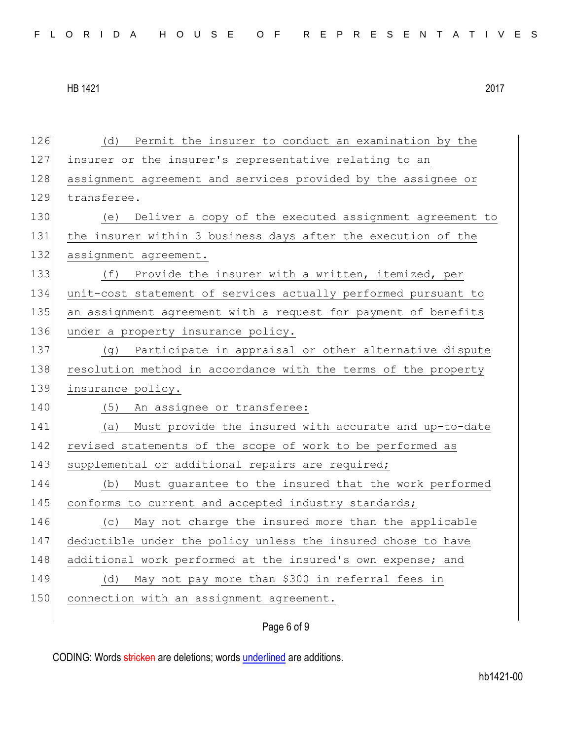126 (d) Permit the insurer to conduct an examination by the 127 insurer or the insurer's representative relating to an 128 assignment agreement and services provided by the assignee or 129 transferee. 130 (e) Deliver a copy of the executed assignment agreement to 131 the insurer within 3 business days after the execution of the 132 assignment agreement. 133 (f) Provide the insurer with a written, itemized, per 134 unit-cost statement of services actually performed pursuant to 135 an assignment agreement with a request for payment of benefits 136 under a property insurance policy. 137 (g) Participate in appraisal or other alternative dispute 138 resolution method in accordance with the terms of the property 139 insurance policy. 140 (5) An assignee or transferee: 141 (a) Must provide the insured with accurate and up-to-date 142 revised statements of the scope of work to be performed as 143 supplemental or additional repairs are required; 144 (b) Must guarantee to the insured that the work performed 145 conforms to current and accepted industry standards; 146 (c) May not charge the insured more than the applicable 147 deductible under the policy unless the insured chose to have 148 additional work performed at the insured's own expense; and 149 (d) May not pay more than \$300 in referral fees in 150 connection with an assignment agreement.

# Page 6 of 9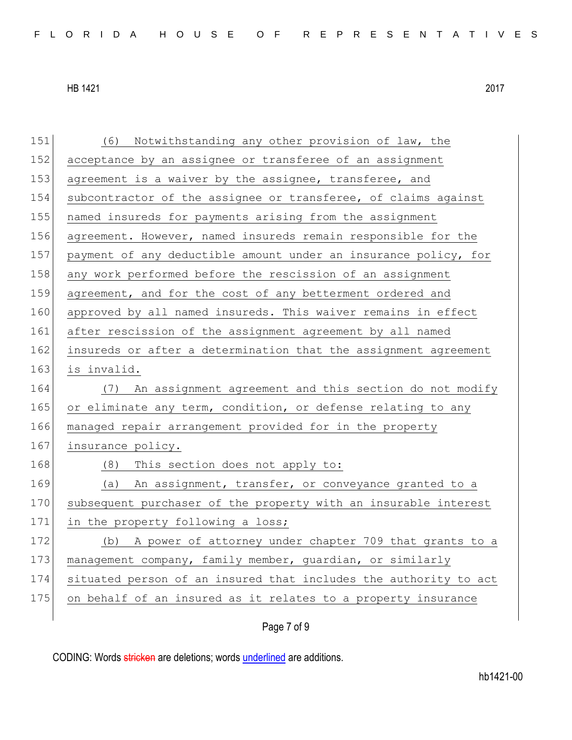| 151 | (6) Notwithstanding any other provision of law, the              |
|-----|------------------------------------------------------------------|
| 152 | acceptance by an assignee or transferee of an assignment         |
| 153 | agreement is a waiver by the assignee, transferee, and           |
| 154 | subcontractor of the assignee or transferee, of claims against   |
| 155 | named insureds for payments arising from the assignment          |
| 156 | agreement. However, named insureds remain responsible for the    |
| 157 | payment of any deductible amount under an insurance policy, for  |
| 158 | any work performed before the rescission of an assignment        |
| 159 | agreement, and for the cost of any betterment ordered and        |
| 160 | approved by all named insureds. This waiver remains in effect    |
| 161 | after rescission of the assignment agreement by all named        |
| 162 | insureds or after a determination that the assignment agreement  |
| 163 | is invalid.                                                      |
| 164 | An assignment agreement and this section do not modify<br>(7)    |
| 165 | or eliminate any term, condition, or defense relating to any     |
| 166 | managed repair arrangement provided for in the property          |
| 167 | insurance policy.                                                |
| 168 | (8) This section does not apply to:                              |
| 169 | (a) An assignment, transfer, or conveyance granted to a          |
| 170 | subsequent purchaser of the property with an insurable interest  |
| 171 | in the property following a loss;                                |
| 172 | A power of attorney under chapter 709 that grants to a<br>(b)    |
| 173 | management company, family member, guardian, or similarly        |
| 174 | situated person of an insured that includes the authority to act |
| 175 | on behalf of an insured as it relates to a property insurance    |
|     |                                                                  |

Page 7 of 9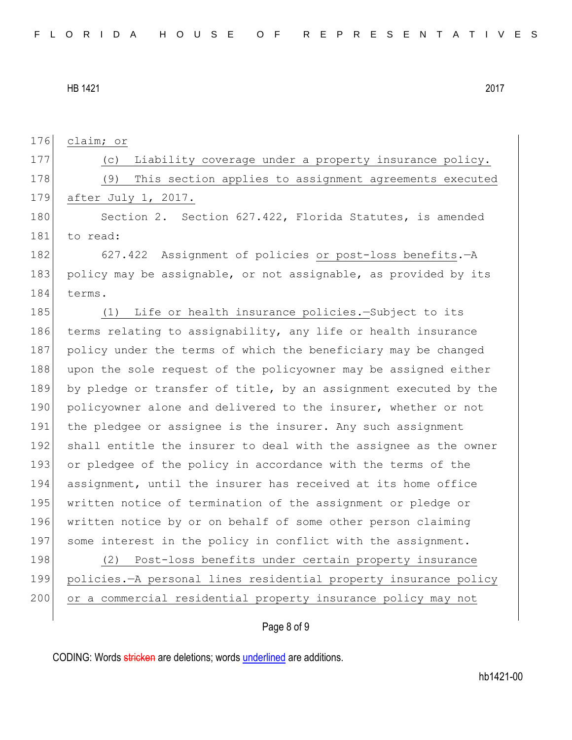176 claim; or

177 (c) Liability coverage under a property insurance policy. 178 (9) This section applies to assignment agreements executed 179 after July 1, 2017.

180 Section 2. Section 627.422, Florida Statutes, is amended 181 to read:

182 627.422 Assignment of policies or post-loss benefits. - A 183 policy may be assignable, or not assignable, as provided by its 184 terms.

185 (1) Life or health insurance policies.—Subject to its 186 terms relating to assignability, any life or health insurance 187 policy under the terms of which the beneficiary may be changed 188 upon the sole request of the policyowner may be assigned either 189 by pledge or transfer of title, by an assignment executed by the 190 policyowner alone and delivered to the insurer, whether or not 191 the pledgee or assignee is the insurer. Any such assignment 192 shall entitle the insurer to deal with the assignee as the owner 193 or pledgee of the policy in accordance with the terms of the 194 assignment, until the insurer has received at its home office 195 written notice of termination of the assignment or pledge or 196 written notice by or on behalf of some other person claiming 197 some interest in the policy in conflict with the assignment. 198 (2) Post-loss benefits under certain property insurance

199 policies.—A personal lines residential property insurance policy 200 or a commercial residential property insurance policy may not

### Page 8 of 9